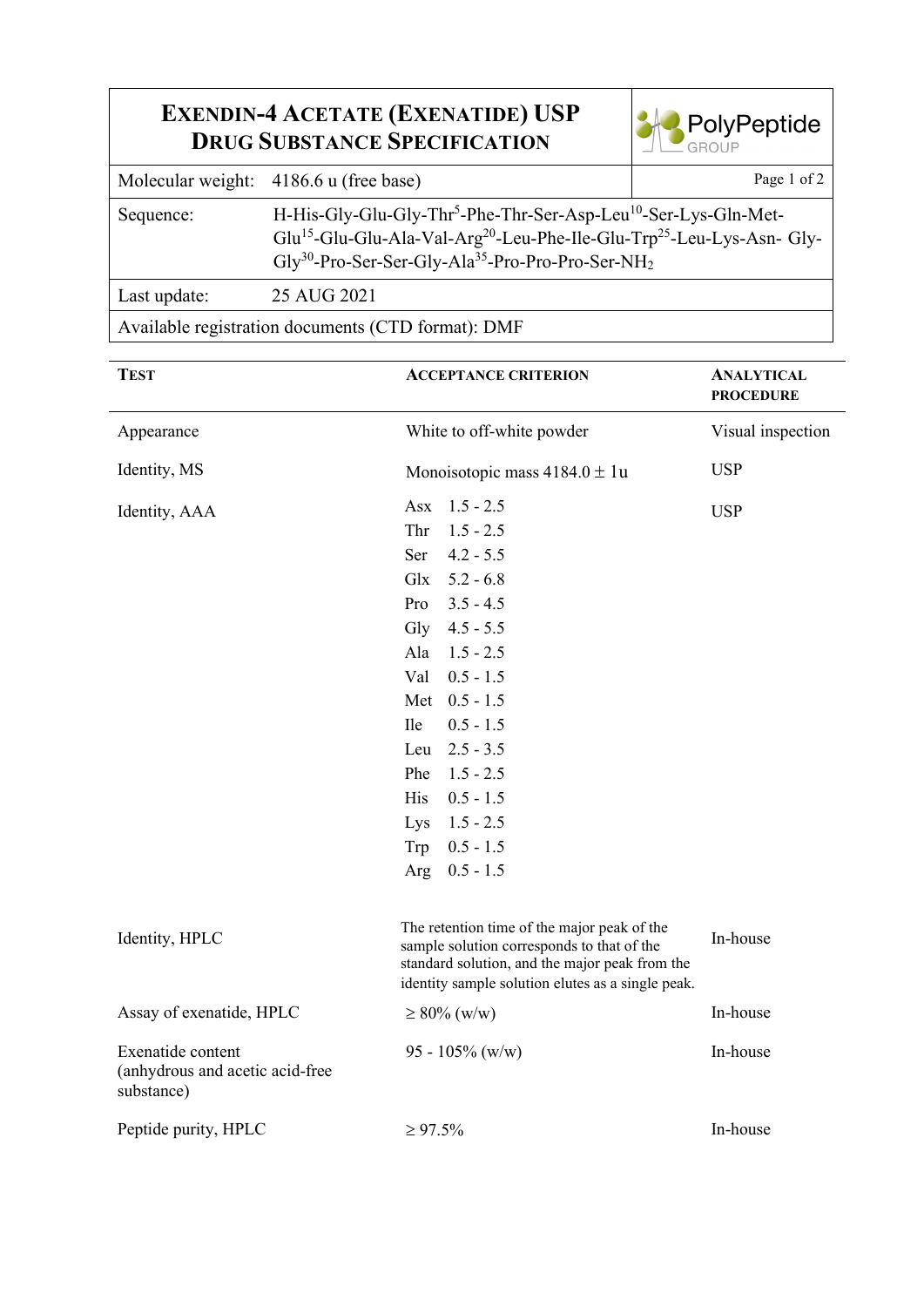## **EXENDIN-4 ACETATE (EXENATIDE) USP DRUG SUBSTANCE SPECIFICATION**



|              | Molecular weight: 4186.6 u (free base)                                                                                                                                                                                                                                                        | Page 1 of 2 |  |  |
|--------------|-----------------------------------------------------------------------------------------------------------------------------------------------------------------------------------------------------------------------------------------------------------------------------------------------|-------------|--|--|
| Sequence:    | H-His-Gly-Glu-Gly-Thr <sup>5</sup> -Phe-Thr-Ser-Asp-Leu <sup>10</sup> -Ser-Lys-Gln-Met-<br>Glu <sup>15</sup> -Glu-Glu-Ala-Val-Arg <sup>20</sup> -Leu-Phe-Ile-Glu-Trp <sup>25</sup> -Leu-Lys-Asn-Gly-<br>$\text{Gly}^{30}$ -Pro-Ser-Ser-Gly-Ala <sup>35</sup> -Pro-Pro-Pro-Ser-NH <sub>2</sub> |             |  |  |
| Last update: | 25 AUG 2021                                                                                                                                                                                                                                                                                   |             |  |  |
|              |                                                                                                                                                                                                                                                                                               |             |  |  |

Available registration documents (CTD format): DMF

| <b>TEST</b>                                                        | <b>ACCEPTANCE CRITERION</b>                                                                                                                                                                                                                                                                                                                                         | <b>ANALYTICAL</b><br><b>PROCEDURE</b> |
|--------------------------------------------------------------------|---------------------------------------------------------------------------------------------------------------------------------------------------------------------------------------------------------------------------------------------------------------------------------------------------------------------------------------------------------------------|---------------------------------------|
| Appearance                                                         | White to off-white powder                                                                                                                                                                                                                                                                                                                                           | Visual inspection                     |
| Identity, MS                                                       | Monoisotopic mass $4184.0 \pm 1u$                                                                                                                                                                                                                                                                                                                                   | <b>USP</b>                            |
| Identity, AAA                                                      | $1.5 - 2.5$<br>Asx<br>Thr<br>$1.5 - 2.5$<br>$4.2 - 5.5$<br>Ser<br>$5.2 - 6.8$<br>Glx<br>$3.5 - 4.5$<br>Pro<br>$4.5 - 5.5$<br>Gly<br>$1.5 - 2.5$<br>Ala<br>Val<br>$0.5 - 1.5$<br>$0.5 - 1.5$<br>Met<br>$0.5 - 1.5$<br><b>Ile</b><br>$2.5 - 3.5$<br>Leu<br>Phe<br>$1.5 - 2.5$<br>His<br>$0.5 - 1.5$<br>$1.5 - 2.5$<br>Lys<br>$0.5 - 1.5$<br>Trp<br>$0.5 - 1.5$<br>Arg | <b>USP</b>                            |
| Identity, HPLC                                                     | The retention time of the major peak of the<br>sample solution corresponds to that of the<br>standard solution, and the major peak from the<br>identity sample solution elutes as a single peak.                                                                                                                                                                    | In-house                              |
| Assay of exenatide, HPLC                                           | $\geq 80\%$ (w/w)                                                                                                                                                                                                                                                                                                                                                   | In-house                              |
| Exenatide content<br>(anhydrous and acetic acid-free<br>substance) | 95 - 105% (w/w)                                                                                                                                                                                                                                                                                                                                                     | In-house                              |
| Peptide purity, HPLC                                               | $\geq 97.5\%$                                                                                                                                                                                                                                                                                                                                                       | In-house                              |